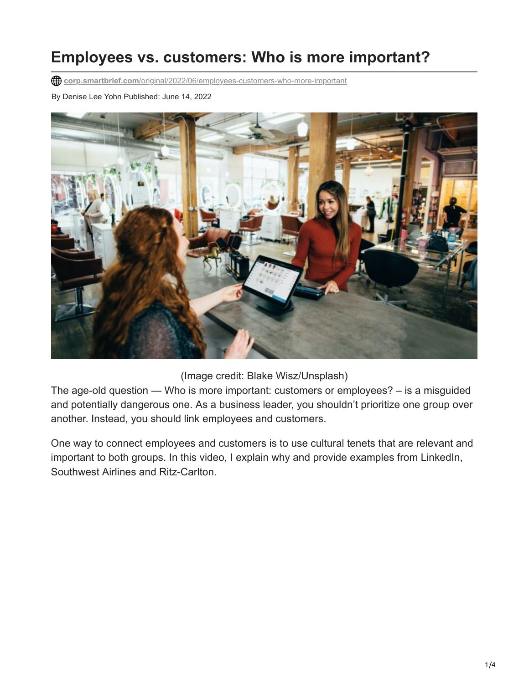## **Employees vs. customers: Who is more important?**

**corp.smartbrief.com**[/original/2022/06/employees-customers-who-more-important](https://corp.smartbrief.com/original/2022/06/employees-customers-who-more-important)

By Denise Lee Yohn Published: June 14, 2022



(Image credit: Blake Wisz/Unsplash)

The age-old question — Who is more important: customers or employees? – is a misguided and potentially dangerous one. As a business leader, you shouldn't prioritize one group over another. Instead, you should link employees and customers.

One way to connect employees and customers is to use cultural tenets that are relevant and important to both groups. In this video, I explain why and provide examples from LinkedIn, Southwest Airlines and Ritz-Carlton.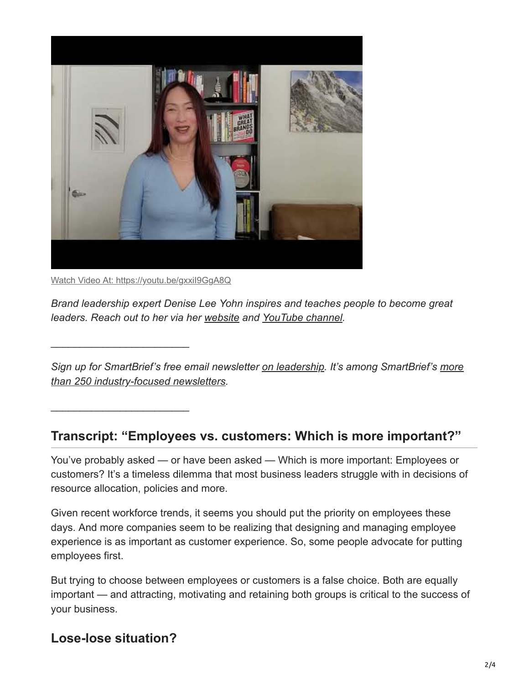

Watch Video At: <https://youtu.be/gxxiI9GgA8Q>

 $\frac{1}{2}$  ,  $\frac{1}{2}$  ,  $\frac{1}{2}$  ,  $\frac{1}{2}$  ,  $\frac{1}{2}$  ,  $\frac{1}{2}$  ,  $\frac{1}{2}$  ,  $\frac{1}{2}$  ,  $\frac{1}{2}$  ,  $\frac{1}{2}$  ,  $\frac{1}{2}$  ,  $\frac{1}{2}$  ,  $\frac{1}{2}$  ,  $\frac{1}{2}$  ,  $\frac{1}{2}$  ,  $\frac{1}{2}$  ,  $\frac{1}{2}$  ,  $\frac{1}{2}$  ,  $\frac{1$ 

 $\frac{1}{2}$  ,  $\frac{1}{2}$  ,  $\frac{1}{2}$  ,  $\frac{1}{2}$  ,  $\frac{1}{2}$  ,  $\frac{1}{2}$  ,  $\frac{1}{2}$  ,  $\frac{1}{2}$  ,  $\frac{1}{2}$  ,  $\frac{1}{2}$  ,  $\frac{1}{2}$  ,  $\frac{1}{2}$  ,  $\frac{1}{2}$  ,  $\frac{1}{2}$  ,  $\frac{1}{2}$  ,  $\frac{1}{2}$  ,  $\frac{1}{2}$  ,  $\frac{1}{2}$  ,  $\frac{1$ 

*Brand leadership expert Denise Lee Yohn inspires and teaches people to become great leaders. Reach out to her via her [website](http://deniseleeyohn.com/) and [YouTube channel](https://www.youtube.com/c/DeniseLeeYohn).*

*[Sign up for SmartBrief's free email newsletter on leadership. It's among SmartBrief's more](https://corp.smartbrief.com/subscribe) than 250 industry-focused newsletters.*

## **Transcript: "Employees vs. customers: Which is more important?"**

You've probably asked — or have been asked — Which is more important: Employees or customers? It's a timeless dilemma that most business leaders struggle with in decisions of resource allocation, policies and more.

Given recent workforce trends, it seems you should put the priority on employees these days. And more companies seem to be realizing that designing and managing employee experience is as important as customer experience. So, some people advocate for putting employees first.

But trying to choose between employees or customers is a false choice. Both are equally important — and attracting, motivating and retaining both groups is critical to the success of your business.

## **Lose-lose situation?**